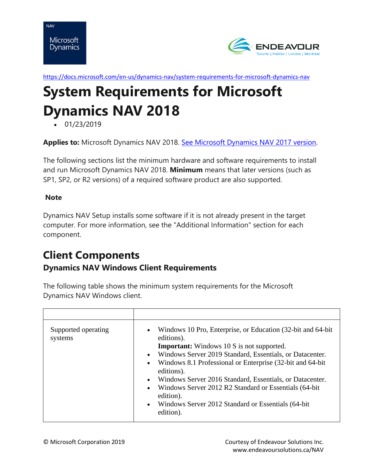



<https://docs.microsoft.com/en-us/dynamics-nav/system-requirements-for-microsoft-dynamics-nav>

# **System Requirements for Microsoft Dynamics NAV 2018**

• 01/23/2019

**Applies to:** Microsoft Dynamics NAV 2018. [See Microsoft Dynamics NAV 2017 version.](https://docs.microsoft.com/en-us/dynamics-nav/system-requirements-for-microsoft-dynamics-nav-2017)

The following sections list the minimum hardware and software requirements to install and run Microsoft Dynamics NAV 2018. **Minimum** means that later versions (such as SP1, SP2, or R2 versions) of a required software product are also supported.

#### **Note**

Dynamics NAV Setup installs some software if it is not already present in the target computer. For more information, see the "Additional Information" section for each component.

# **Client Components Dynamics NAV Windows Client Requirements**

The following table shows the minimum system requirements for the Microsoft Dynamics NAV Windows client.

| Supported operating<br>systems | Windows 10 Pro, Enterprise, or Education (32-bit and 64-bit)<br>$\bullet$<br>editions).<br><b>Important:</b> Windows 10 S is not supported.<br>Windows Server 2019 Standard, Essentials, or Datacenter.<br>$\bullet$<br>Windows 8.1 Professional or Enterprise (32-bit and 64-bit)<br>$\bullet$<br>editions).<br>Windows Server 2016 Standard, Essentials, or Datacenter.<br>$\bullet$<br>Windows Server 2012 R2 Standard or Essentials (64-bit)<br>$\bullet$<br>edition).<br>Windows Server 2012 Standard or Essentials (64-bit)<br>$\bullet$<br>edition). |
|--------------------------------|-------------------------------------------------------------------------------------------------------------------------------------------------------------------------------------------------------------------------------------------------------------------------------------------------------------------------------------------------------------------------------------------------------------------------------------------------------------------------------------------------------------------------------------------------------------|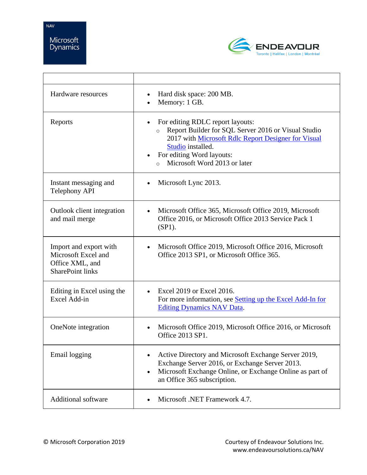

| Hardware resources                                                                          | Hard disk space: 200 MB.<br>$\bullet$<br>Memory: 1 GB.                                                                                                                                                                                                   |
|---------------------------------------------------------------------------------------------|----------------------------------------------------------------------------------------------------------------------------------------------------------------------------------------------------------------------------------------------------------|
| Reports                                                                                     | For editing RDLC report layouts:<br>Report Builder for SQL Server 2016 or Visual Studio<br>$\Omega$<br>2017 with Microsoft Rdlc Report Designer for Visual<br>Studio installed.<br>For editing Word layouts:<br>Microsoft Word 2013 or later<br>$\Omega$ |
| Instant messaging and<br><b>Telephony API</b>                                               | Microsoft Lync 2013.                                                                                                                                                                                                                                     |
| Outlook client integration<br>and mail merge                                                | Microsoft Office 365, Microsoft Office 2019, Microsoft<br>$\bullet$<br>Office 2016, or Microsoft Office 2013 Service Pack 1<br>$(SP1)$ .                                                                                                                 |
| Import and export with<br>Microsoft Excel and<br>Office XML, and<br><b>SharePoint links</b> | Microsoft Office 2019, Microsoft Office 2016, Microsoft<br>$\bullet$<br>Office 2013 SP1, or Microsoft Office 365.                                                                                                                                        |
| Editing in Excel using the<br>Excel Add-in                                                  | Excel 2019 or Excel 2016.<br>$\bullet$<br>For more information, see Setting up the Excel Add-In for<br><b>Editing Dynamics NAV Data.</b>                                                                                                                 |
| OneNote integration                                                                         | Microsoft Office 2019, Microsoft Office 2016, or Microsoft<br>$\bullet$<br>Office 2013 SP1.                                                                                                                                                              |
| Email logging                                                                               | Active Directory and Microsoft Exchange Server 2019,<br>Exchange Server 2016, or Exchange Server 2013.<br>Microsoft Exchange Online, or Exchange Online as part of<br>$\bullet$<br>an Office 365 subscription.                                           |
| <b>Additional software</b>                                                                  | Microsoft .NET Framework 4.7.                                                                                                                                                                                                                            |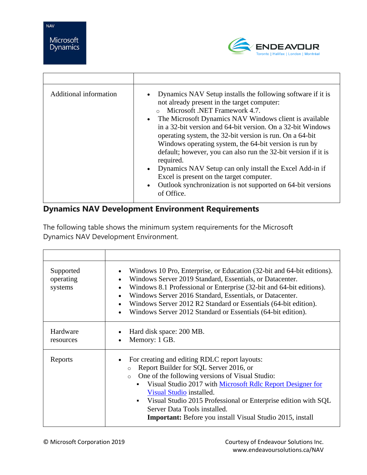

| Additional information | Dynamics NAV Setup installs the following software if it is<br>$\bullet$<br>not already present in the target computer:<br>Microsoft .NET Framework 4.7.<br>The Microsoft Dynamics NAV Windows client is available<br>$\bullet$<br>in a 32-bit version and 64-bit version. On a 32-bit Windows<br>operating system, the 32-bit version is run. On a 64-bit<br>Windows operating system, the 64-bit version is run by<br>default; however, you can also run the 32-bit version if it is<br>required.<br>Dynamics NAV Setup can only install the Excel Add-in if<br>$\bullet$<br>Excel is present on the target computer.<br>Outlook synchronization is not supported on 64-bit versions<br>$\bullet$<br>of Office. |
|------------------------|-------------------------------------------------------------------------------------------------------------------------------------------------------------------------------------------------------------------------------------------------------------------------------------------------------------------------------------------------------------------------------------------------------------------------------------------------------------------------------------------------------------------------------------------------------------------------------------------------------------------------------------------------------------------------------------------------------------------|

## **Dynamics NAV Development Environment Requirements**

The following table shows the minimum system requirements for the Microsoft Dynamics NAV Development Environment.

| Supported<br>operating<br>systems | Windows 10 Pro, Enterprise, or Education (32-bit and 64-bit editions).<br>$\bullet$<br>Windows Server 2019 Standard, Essentials, or Datacenter.<br>$\bullet$<br>Windows 8.1 Professional or Enterprise (32-bit and 64-bit editions).<br>$\bullet$<br>Windows Server 2016 Standard, Essentials, or Datacenter.<br>$\bullet$<br>Windows Server 2012 R2 Standard or Essentials (64-bit edition).<br>$\bullet$<br>Windows Server 2012 Standard or Essentials (64-bit edition).<br>$\bullet$ |
|-----------------------------------|-----------------------------------------------------------------------------------------------------------------------------------------------------------------------------------------------------------------------------------------------------------------------------------------------------------------------------------------------------------------------------------------------------------------------------------------------------------------------------------------|
| Hardware<br>resources             | Hard disk space: 200 MB.<br>Memory: 1 GB.<br>$\bullet$                                                                                                                                                                                                                                                                                                                                                                                                                                  |
| Reports                           | For creating and editing RDLC report layouts:<br>$\bullet$<br>Report Builder for SQL Server 2016, or<br>$\circ$<br>One of the following versions of Visual Studio:<br>$\circ$<br>Visual Studio 2017 with Microsoft Rdlc Report Designer for<br>Visual Studio installed.<br>Visual Studio 2015 Professional or Enterprise edition with SQL<br>$\blacksquare$<br>Server Data Tools installed.<br><b>Important:</b> Before you install Visual Studio 2015, install                         |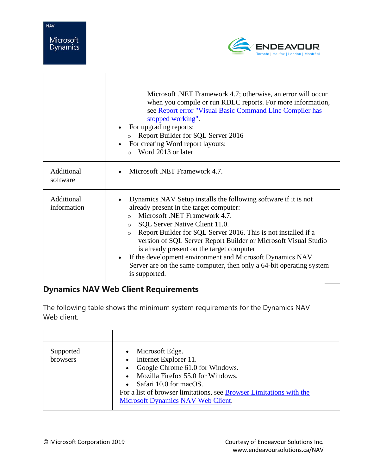$\Gamma$ 



|                           | Microsoft .NET Framework 4.7; otherwise, an error will occur<br>when you compile or run RDLC reports. For more information,<br>see Report error "Visual Basic Command Line Compiler has<br>stopped working".<br>For upgrading reports:<br>Report Builder for SQL Server 2016<br>For creating Word report layouts:<br>Word 2013 or later<br>$\Omega$                                                                                                                                                                                                     |
|---------------------------|---------------------------------------------------------------------------------------------------------------------------------------------------------------------------------------------------------------------------------------------------------------------------------------------------------------------------------------------------------------------------------------------------------------------------------------------------------------------------------------------------------------------------------------------------------|
| Additional<br>software    | Microsoft .NET Framework 4.7.                                                                                                                                                                                                                                                                                                                                                                                                                                                                                                                           |
| Additional<br>information | Dynamics NAV Setup installs the following software if it is not<br>already present in the target computer:<br>Microsoft .NET Framework 4.7.<br>$\circ$<br>SQL Server Native Client 11.0.<br>$\circ$<br>Report Builder for SQL Server 2016. This is not installed if a<br>$\Omega$<br>version of SQL Server Report Builder or Microsoft Visual Studio<br>is already present on the target computer<br>If the development environment and Microsoft Dynamics NAV<br>Server are on the same computer, then only a 64-bit operating system<br>is supported. |

## **Dynamics NAV Web Client Requirements**

The following table shows the minimum system requirements for the Dynamics NAV Web client.

| Supported<br>browsers | Microsoft Edge.<br>$\bullet$<br>Internet Explorer 11.<br>Google Chrome 61.0 for Windows.<br>Mozilla Firefox 55.0 for Windows.<br>• Safari 10.0 for macOS.<br>For a list of browser limitations, see Browser Limitations with the<br><b>Microsoft Dynamics NAV Web Client.</b> |
|-----------------------|-------------------------------------------------------------------------------------------------------------------------------------------------------------------------------------------------------------------------------------------------------------------------------|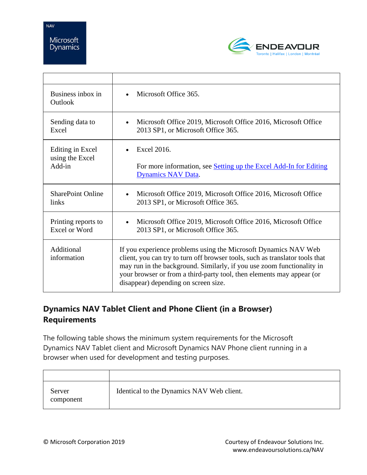

| Business inbox in<br>Outlook | Microsoft Office 365.                                                                                                                                                                                                                                                                                                                      |
|------------------------------|--------------------------------------------------------------------------------------------------------------------------------------------------------------------------------------------------------------------------------------------------------------------------------------------------------------------------------------------|
| Sending data to              | Microsoft Office 2019, Microsoft Office 2016, Microsoft Office                                                                                                                                                                                                                                                                             |
| Excel                        | 2013 SP1, or Microsoft Office 365.                                                                                                                                                                                                                                                                                                         |
| Editing in Excel             | Excel 2016.                                                                                                                                                                                                                                                                                                                                |
| using the Excel              | For more information, see Setting up the Excel Add-In for Editing                                                                                                                                                                                                                                                                          |
| Add-in                       | <b>Dynamics NAV Data.</b>                                                                                                                                                                                                                                                                                                                  |
| <b>SharePoint Online</b>     | Microsoft Office 2019, Microsoft Office 2016, Microsoft Office                                                                                                                                                                                                                                                                             |
| links                        | 2013 SP1, or Microsoft Office 365.                                                                                                                                                                                                                                                                                                         |
| Printing reports to          | Microsoft Office 2019, Microsoft Office 2016, Microsoft Office                                                                                                                                                                                                                                                                             |
| Excel or Word                | 2013 SP1, or Microsoft Office 365.                                                                                                                                                                                                                                                                                                         |
| Additional<br>information    | If you experience problems using the Microsoft Dynamics NAV Web<br>client, you can try to turn off browser tools, such as translator tools that<br>may run in the background. Similarly, if you use zoom functionality in<br>your browser or from a third-party tool, then elements may appear (or<br>disappear) depending on screen size. |

## **Dynamics NAV Tablet Client and Phone Client (in a Browser) Requirements**

The following table shows the minimum system requirements for the Microsoft Dynamics NAV Tablet client and Microsoft Dynamics NAV Phone client running in a browser when used for development and testing purposes.

| Server<br>component | Identical to the Dynamics NAV Web client. |
|---------------------|-------------------------------------------|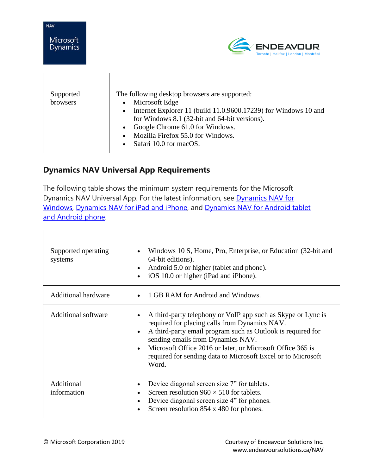

| Supported<br>browsers | The following desktop browsers are supported:<br>Microsoft Edge<br>$\bullet$<br>Internet Explorer 11 (build 11.0.9600.17239) for Windows 10 and<br>$\bullet$<br>for Windows 8.1 (32-bit and 64-bit versions).<br>Google Chrome 61.0 for Windows.<br>$\bullet$<br>Mozilla Firefox 55.0 for Windows.<br>Safari 10.0 for macOS. |
|-----------------------|------------------------------------------------------------------------------------------------------------------------------------------------------------------------------------------------------------------------------------------------------------------------------------------------------------------------------|

## **Dynamics NAV Universal App Requirements**

The following table shows the minimum system requirements for the Microsoft Dynamics NAV Universal App. For the latest information, see [Dynamics NAV for](http://go.microsoft.com/fwlink/?LinkId=509974)  [Windows,](http://go.microsoft.com/fwlink/?LinkId=509974) [Dynamics NAV for iPad and iPhone,](http://go.microsoft.com/fwlink/?LinkId=509975) and [Dynamics NAV for Android tablet](http://go.microsoft.com/fwlink/?LinkId=509976)  [and Android phone.](http://go.microsoft.com/fwlink/?LinkId=509976)

| Supported operating<br>systems | Windows 10 S, Home, Pro, Enterprise, or Education (32-bit and<br>64-bit editions).<br>Android 5.0 or higher (tablet and phone).<br>iOS 10.0 or higher (iPad and iPhone).                                                                                                                                                                                              |
|--------------------------------|-----------------------------------------------------------------------------------------------------------------------------------------------------------------------------------------------------------------------------------------------------------------------------------------------------------------------------------------------------------------------|
| <b>Additional hardware</b>     | 1 GB RAM for Android and Windows.                                                                                                                                                                                                                                                                                                                                     |
| <b>Additional software</b>     | A third-party telephony or VoIP app such as Skype or Lync is<br>required for placing calls from Dynamics NAV.<br>A third-party email program such as Outlook is required for<br>$\bullet$<br>sending emails from Dynamics NAV.<br>Microsoft Office 2016 or later, or Microsoft Office 365 is<br>required for sending data to Microsoft Excel or to Microsoft<br>Word. |
| Additional<br>information      | Device diagonal screen size 7" for tablets.<br>Screen resolution $960 \times 510$ for tablets.<br>Device diagonal screen size 4" for phones.<br>Screen resolution 854 x 480 for phones.                                                                                                                                                                               |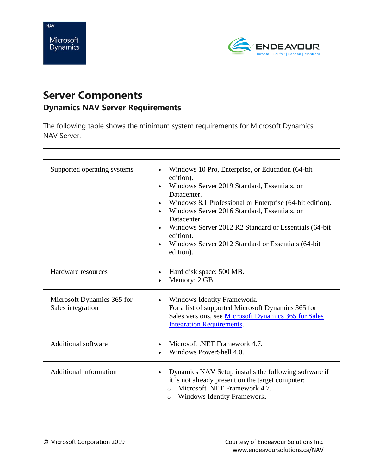



# **Server Components Dynamics NAV Server Requirements**

The following table shows the minimum system requirements for Microsoft Dynamics NAV Server.

| Supported operating systems                     | Windows 10 Pro, Enterprise, or Education (64-bit)<br>$\bullet$<br>edition).<br>Windows Server 2019 Standard, Essentials, or<br>$\bullet$<br>Datacenter.<br>Windows 8.1 Professional or Enterprise (64-bit edition).<br>$\bullet$<br>Windows Server 2016 Standard, Essentials, or<br>Datacenter.<br>Windows Server 2012 R2 Standard or Essentials (64-bit)<br>edition).<br>Windows Server 2012 Standard or Essentials (64-bit<br>$\bullet$<br>edition). |
|-------------------------------------------------|--------------------------------------------------------------------------------------------------------------------------------------------------------------------------------------------------------------------------------------------------------------------------------------------------------------------------------------------------------------------------------------------------------------------------------------------------------|
| Hardware resources                              | Hard disk space: 500 MB.<br>$\bullet$<br>Memory: 2 GB.                                                                                                                                                                                                                                                                                                                                                                                                 |
| Microsoft Dynamics 365 for<br>Sales integration | Windows Identity Framework.<br>$\bullet$<br>For a list of supported Microsoft Dynamics 365 for<br>Sales versions, see Microsoft Dynamics 365 for Sales<br><b>Integration Requirements.</b>                                                                                                                                                                                                                                                             |
| <b>Additional software</b>                      | Microsoft .NET Framework 4.7.<br>$\bullet$<br>Windows PowerShell 4.0.                                                                                                                                                                                                                                                                                                                                                                                  |
| Additional information                          | Dynamics NAV Setup installs the following software if<br>$\bullet$<br>it is not already present on the target computer:<br>Microsoft .NET Framework 4.7.<br>$\circ$<br>Windows Identity Framework.<br>$\circ$                                                                                                                                                                                                                                          |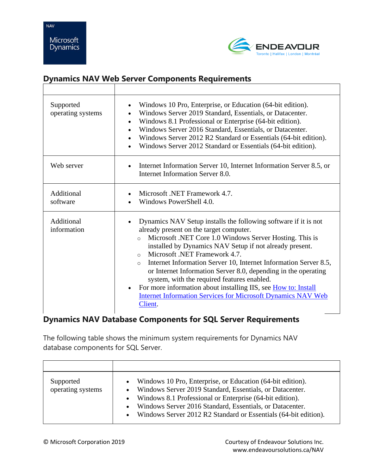Dynamics



#### **Dynamics NAV Web Server Components Requirements**

| Supported<br>operating systems | Windows 10 Pro, Enterprise, or Education (64-bit edition).<br>Windows Server 2019 Standard, Essentials, or Datacenter.<br>Windows 8.1 Professional or Enterprise (64-bit edition).<br>$\bullet$<br>Windows Server 2016 Standard, Essentials, or Datacenter.<br>Windows Server 2012 R2 Standard or Essentials (64-bit edition).<br>Windows Server 2012 Standard or Essentials (64-bit edition).                                                                                                                                                                                                                                               |
|--------------------------------|----------------------------------------------------------------------------------------------------------------------------------------------------------------------------------------------------------------------------------------------------------------------------------------------------------------------------------------------------------------------------------------------------------------------------------------------------------------------------------------------------------------------------------------------------------------------------------------------------------------------------------------------|
| Web server                     | Internet Information Server 10, Internet Information Server 8.5, or<br>Internet Information Server 8.0.                                                                                                                                                                                                                                                                                                                                                                                                                                                                                                                                      |
| Additional<br>software         | Microsoft .NET Framework 4.7.<br>Windows PowerShell 4.0.                                                                                                                                                                                                                                                                                                                                                                                                                                                                                                                                                                                     |
| Additional<br>information      | Dynamics NAV Setup installs the following software if it is not<br>already present on the target computer.<br>Microsoft .NET Core 1.0 Windows Server Hosting. This is<br>$\circ$<br>installed by Dynamics NAV Setup if not already present.<br>Microsoft .NET Framework 4.7.<br>$\Omega$<br>Internet Information Server 10, Internet Information Server 8.5,<br>$\circ$<br>or Internet Information Server 8.0, depending in the operating<br>system, with the required features enabled.<br>For more information about installing IIS, see How to: Install<br><b>Internet Information Services for Microsoft Dynamics NAV Web</b><br>Client. |

## **Dynamics NAV Database Components for SQL Server Requirements**

The following table shows the minimum system requirements for Dynamics NAV database components for SQL Server.

| Supported<br>operating systems | • Windows 10 Pro, Enterprise, or Education (64-bit edition).<br>Windows Server 2019 Standard, Essentials, or Datacenter.<br>• Windows 8.1 Professional or Enterprise (64-bit edition).<br>Windows Server 2016 Standard, Essentials, or Datacenter.<br>• Windows Server 2012 R2 Standard or Essentials (64-bit edition). |
|--------------------------------|-------------------------------------------------------------------------------------------------------------------------------------------------------------------------------------------------------------------------------------------------------------------------------------------------------------------------|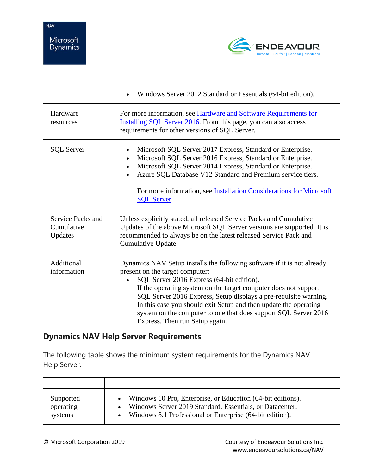



|                                            | Windows Server 2012 Standard or Essentials (64-bit edition).                                                                                                                                                                                                                                                                                                                                                                                                            |
|--------------------------------------------|-------------------------------------------------------------------------------------------------------------------------------------------------------------------------------------------------------------------------------------------------------------------------------------------------------------------------------------------------------------------------------------------------------------------------------------------------------------------------|
| Hardware<br>resources                      | For more information, see Hardware and Software Requirements for<br>Installing SQL Server 2016. From this page, you can also access<br>requirements for other versions of SQL Server.                                                                                                                                                                                                                                                                                   |
| <b>SQL Server</b>                          | Microsoft SQL Server 2017 Express, Standard or Enterprise.<br>Microsoft SQL Server 2016 Express, Standard or Enterprise.<br>$\bullet$<br>Microsoft SQL Server 2014 Express, Standard or Enterprise.<br>Azure SQL Database V12 Standard and Premium service tiers.<br>For more information, see Installation Considerations for Microsoft<br><b>SQL Server.</b>                                                                                                          |
| Service Packs and<br>Cumulative<br>Updates | Unless explicitly stated, all released Service Packs and Cumulative<br>Updates of the above Microsoft SQL Server versions are supported. It is<br>recommended to always be on the latest released Service Pack and<br>Cumulative Update.                                                                                                                                                                                                                                |
| Additional<br>information                  | Dynamics NAV Setup installs the following software if it is not already<br>present on the target computer:<br>SQL Server 2016 Express (64-bit edition).<br>If the operating system on the target computer does not support<br>SQL Server 2016 Express, Setup displays a pre-requisite warning.<br>In this case you should exit Setup and then update the operating<br>system on the computer to one that does support SQL Server 2016<br>Express. Then run Setup again. |

## **Dynamics NAV Help Server Requirements**

The following table shows the minimum system requirements for the Dynamics NAV Help Server.

| Supported | • Windows 10 Pro, Enterprise, or Education (64-bit editions). |
|-----------|---------------------------------------------------------------|
| operating | Windows Server 2019 Standard, Essentials, or Datacenter.      |
| systems   | • Windows 8.1 Professional or Enterprise (64-bit edition).    |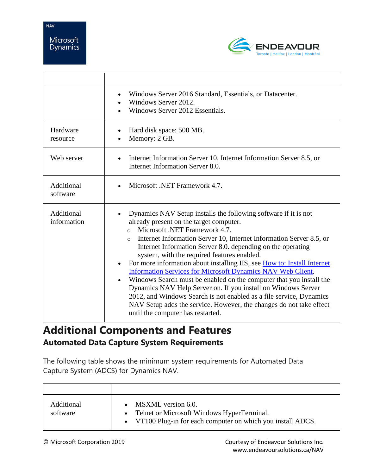# Microsoft Dynamics

**NAV** 



|                           | Windows Server 2016 Standard, Essentials, or Datacenter.<br>Windows Server 2012.<br>Windows Server 2012 Essentials.                                                                                                                                                                                                                                                                                                                                                                                                                                                                                                                                                                                                                                                                                                           |
|---------------------------|-------------------------------------------------------------------------------------------------------------------------------------------------------------------------------------------------------------------------------------------------------------------------------------------------------------------------------------------------------------------------------------------------------------------------------------------------------------------------------------------------------------------------------------------------------------------------------------------------------------------------------------------------------------------------------------------------------------------------------------------------------------------------------------------------------------------------------|
| Hardware<br>resource      | Hard disk space: 500 MB.<br>Memory: 2 GB.                                                                                                                                                                                                                                                                                                                                                                                                                                                                                                                                                                                                                                                                                                                                                                                     |
| Web server                | Internet Information Server 10, Internet Information Server 8.5, or<br>Internet Information Server 8.0.                                                                                                                                                                                                                                                                                                                                                                                                                                                                                                                                                                                                                                                                                                                       |
| Additional<br>software    | Microsoft .NET Framework 4.7.                                                                                                                                                                                                                                                                                                                                                                                                                                                                                                                                                                                                                                                                                                                                                                                                 |
| Additional<br>information | Dynamics NAV Setup installs the following software if it is not<br>already present on the target computer.<br>Microsoft .NET Framework 4.7.<br>$\Omega$<br>Internet Information Server 10, Internet Information Server 8.5, or<br>$\Omega$<br>Internet Information Server 8.0. depending on the operating<br>system, with the required features enabled.<br>For more information about installing IIS, see How to: Install Internet<br>Information Services for Microsoft Dynamics NAV Web Client.<br>Windows Search must be enabled on the computer that you install the<br>Dynamics NAV Help Server on. If you install on Windows Server<br>2012, and Windows Search is not enabled as a file service, Dynamics<br>NAV Setup adds the service. However, the changes do not take effect<br>until the computer has restarted. |

# **Additional Components and Features Automated Data Capture System Requirements**

The following table shows the minimum system requirements for Automated Data Capture System (ADCS) for Dynamics NAV.

| Additional<br>software | MSXML version 6.0.<br>• Telnet or Microsoft Windows HyperTerminal.<br>• VT100 Plug-in for each computer on which you install ADCS. |
|------------------------|------------------------------------------------------------------------------------------------------------------------------------|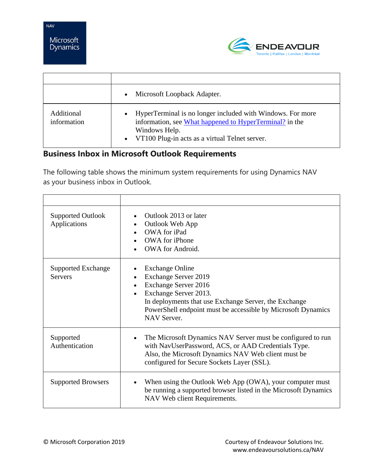



|                           | Microsoft Loopback Adapter.<br>$\bullet$                                                                                                                                                              |
|---------------------------|-------------------------------------------------------------------------------------------------------------------------------------------------------------------------------------------------------|
| Additional<br>information | HyperTerminal is no longer included with Windows. For more<br>information, see What happened to HyperTerminal? in the<br>Windows Help.<br>VT100 Plug-in acts as a virtual Telnet server.<br>$\bullet$ |

#### **Business Inbox in Microsoft Outlook Requirements**

The following table shows the minimum system requirements for using Dynamics NAV as your business inbox in Outlook.

| <b>Supported Outlook</b><br>Applications    | Outlook 2013 or later<br>Outlook Web App<br>$\bullet$<br>OWA for iPad<br><b>OWA</b> for iPhone<br>OWA for Android.                                                                                                                                                 |
|---------------------------------------------|--------------------------------------------------------------------------------------------------------------------------------------------------------------------------------------------------------------------------------------------------------------------|
| <b>Supported Exchange</b><br><b>Servers</b> | <b>Exchange Online</b><br><b>Exchange Server 2019</b><br>$\bullet$<br>Exchange Server 2016<br>Exchange Server 2013.<br>In deployments that use Exchange Server, the Exchange<br>PowerShell endpoint must be accessible by Microsoft Dynamics<br><b>NAV Server.</b> |
| Supported<br>Authentication                 | The Microsoft Dynamics NAV Server must be configured to run<br>with NavUserPassword, ACS, or AAD Credentials Type.<br>Also, the Microsoft Dynamics NAV Web client must be<br>configured for Secure Sockets Layer (SSL).                                            |
| <b>Supported Browsers</b>                   | When using the Outlook Web App (OWA), your computer must<br>$\bullet$<br>be running a supported browser listed in the Microsoft Dynamics<br>NAV Web client Requirements.                                                                                           |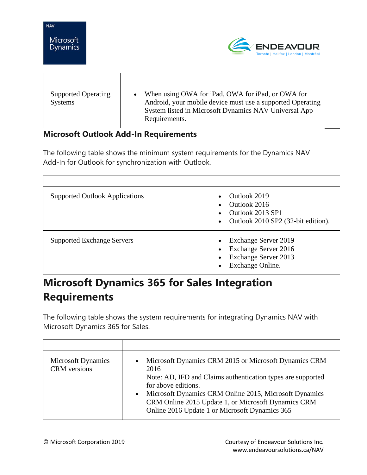

| <b>Supported Operating</b><br><b>Systems</b> | When using OWA for iPad, OWA for iPad, or OWA for<br>Android, your mobile device must use a supported Operating<br>System listed in Microsoft Dynamics NAV Universal App<br>Requirements. |
|----------------------------------------------|-------------------------------------------------------------------------------------------------------------------------------------------------------------------------------------------|

#### **Microsoft Outlook Add-In Requirements**

The following table shows the minimum system requirements for the Dynamics NAV Add-In for Outlook for synchronization with Outlook.

| <b>Supported Outlook Applications</b> | Outlook 2019<br>$\bullet$<br>Outlook 2016<br>Outlook 2013 SP1<br>Outlook 2010 SP2 (32-bit edition).<br>$\bullet$                             |
|---------------------------------------|----------------------------------------------------------------------------------------------------------------------------------------------|
| <b>Supported Exchange Servers</b>     | Exchange Server 2019<br>$\bullet$<br>Exchange Server 2016<br>$\bullet$<br>Exchange Server 2013<br>$\bullet$<br>Exchange Online.<br>$\bullet$ |

# **Microsoft Dynamics 365 for Sales Integration Requirements**

The following table shows the system requirements for integrating Dynamics NAV with Microsoft Dynamics 365 for Sales.

| <b>Microsoft Dynamics</b><br><b>CRM</b> versions | • Microsoft Dynamics CRM 2015 or Microsoft Dynamics CRM<br>2016<br>Note: AD, IFD and Claims authentication types are supported<br>for above editions.<br>Microsoft Dynamics CRM Online 2015, Microsoft Dynamics<br>$\bullet$<br>CRM Online 2015 Update 1, or Microsoft Dynamics CRM<br>Online 2016 Update 1 or Microsoft Dynamics 365 |
|--------------------------------------------------|---------------------------------------------------------------------------------------------------------------------------------------------------------------------------------------------------------------------------------------------------------------------------------------------------------------------------------------|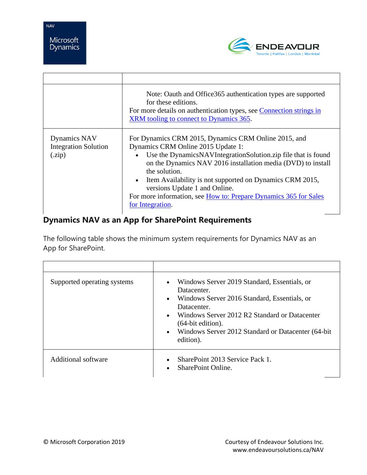

|                                                      | Note: Oauth and Office365 authentication types are supported<br>for these editions.<br>For more details on authentication types, see Connection strings in<br>XRM tooling to connect to Dynamics 365.                                                                                                                                                                                                                                 |
|------------------------------------------------------|---------------------------------------------------------------------------------------------------------------------------------------------------------------------------------------------------------------------------------------------------------------------------------------------------------------------------------------------------------------------------------------------------------------------------------------|
| Dynamics NAV<br><b>Integration Solution</b><br>(zip) | For Dynamics CRM 2015, Dynamics CRM Online 2015, and<br>Dynamics CRM Online 2015 Update 1:<br>• Use the DynamicsNAVIntegrationSolution.zip file that is found<br>on the Dynamics NAV 2016 installation media (DVD) to install<br>the solution.<br>• Item Availability is not supported on Dynamics CRM 2015,<br>versions Update 1 and Online.<br>For more information, see How to: Prepare Dynamics 365 for Sales<br>for Integration. |

## **Dynamics NAV as an App for SharePoint Requirements**

The following table shows the minimum system requirements for Dynamics NAV as an App for SharePoint.

| Supported operating systems | Windows Server 2019 Standard, Essentials, or<br>$\bullet$<br>Datacenter.<br>• Windows Server 2016 Standard, Essentials, or<br>Datacenter.<br>Windows Server 2012 R2 Standard or Datacenter<br>$\bullet$<br>$(64$ -bit edition).<br>Windows Server 2012 Standard or Datacenter (64-bit)<br>$\bullet$<br>edition). |
|-----------------------------|------------------------------------------------------------------------------------------------------------------------------------------------------------------------------------------------------------------------------------------------------------------------------------------------------------------|
| Additional software         | SharePoint 2013 Service Pack 1.<br>$\bullet$<br><b>SharePoint Online.</b><br>$\bullet$                                                                                                                                                                                                                           |